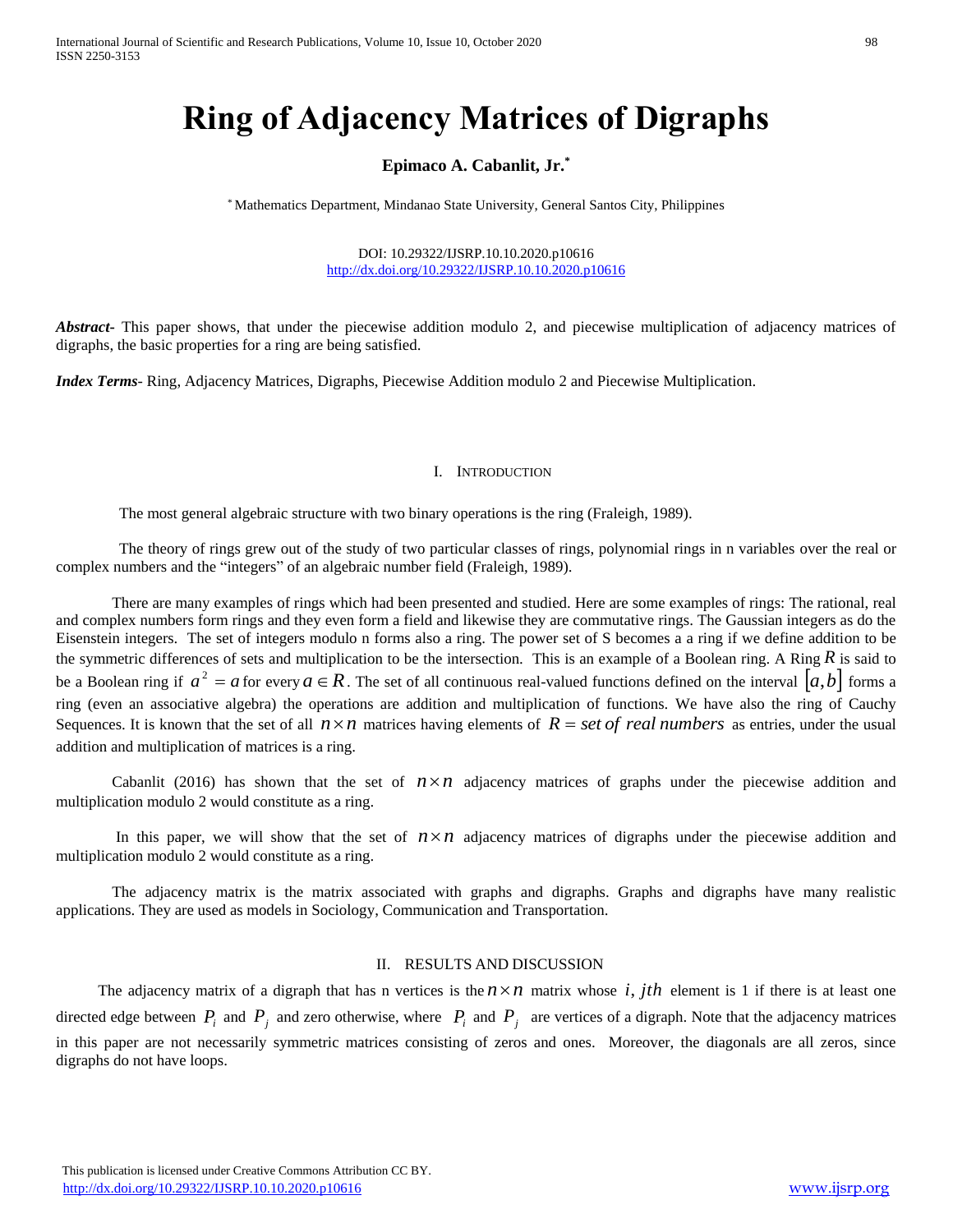# **Ring of Adjacency Matrices of Digraphs**

## **Epimaco A. Cabanlit, Jr.\***

\* Mathematics Department, Mindanao State University, General Santos City, Philippines

DOI: 10.29322/IJSRP.10.10.2020.p10616 <http://dx.doi.org/10.29322/IJSRP.10.10.2020.p10616>

*Abstract***-** This paper shows, that under the piecewise addition modulo 2, and piecewise multiplication of adjacency matrices of digraphs, the basic properties for a ring are being satisfied.

*Index Terms*- Ring, Adjacency Matrices, Digraphs, Piecewise Addition modulo 2 and Piecewise Multiplication.

#### I. INTRODUCTION

The most general algebraic structure with two binary operations is the ring (Fraleigh, 1989).

The theory of rings grew out of the study of two particular classes of rings, polynomial rings in n variables over the real or complex numbers and the "integers" of an algebraic number field (Fraleigh, 1989).

There are many examples of rings which had been presented and studied. Here are some examples of rings: The rational, real and complex numbers form rings and they even form a field and likewise they are commutative rings. The Gaussian integers as do the Eisenstein integers. The set of integers modulo n forms also a ring. The power set of S becomes a a ring if we define addition to be the symmetric differences of sets and multiplication to be the intersection. This is an example of a Boolean ring. A Ring  $R$  is said to be a Boolean ring if  $a^2 = a$  for every  $a \in R$ . The set of all continuous real-valued functions defined on the interval  $[a,b]$  forms a ring (even an associative algebra) the operations are addition and multiplication of functions. We have also the ring of Cauchy Sequences. It is known that the set of all  $n \times n$  matrices having elements of  $R = set$  of real numbers as entries, under the usual addition and multiplication of matrices is a ring.

Cabanlit (2016) has shown that the set of  $n \times n$  adjacency matrices of graphs under the piecewise addition and multiplication modulo 2 would constitute as a ring.

In this paper, we will show that the set of  $n \times n$  adjacency matrices of digraphs under the piecewise addition and multiplication modulo 2 would constitute as a ring.

The adjacency matrix is the matrix associated with graphs and digraphs. Graphs and digraphs have many realistic applications. They are used as models in Sociology, Communication and Transportation.

### II. RESULTS AND DISCUSSION

The adjacency matrix of a digraph that has n vertices is the  $n \times n$  matrix whose i, jth element is 1 if there is at least one directed edge between  $P_i$  and  $P_j$  and zero otherwise, where  $P_i$  and  $P_j$  are vertices of a digraph. Note that the adjacency matrices in this paper are not necessarily symmetric matrices consisting of zeros and ones. Moreover, the diagonals are all zeros, since digraphs do not have loops.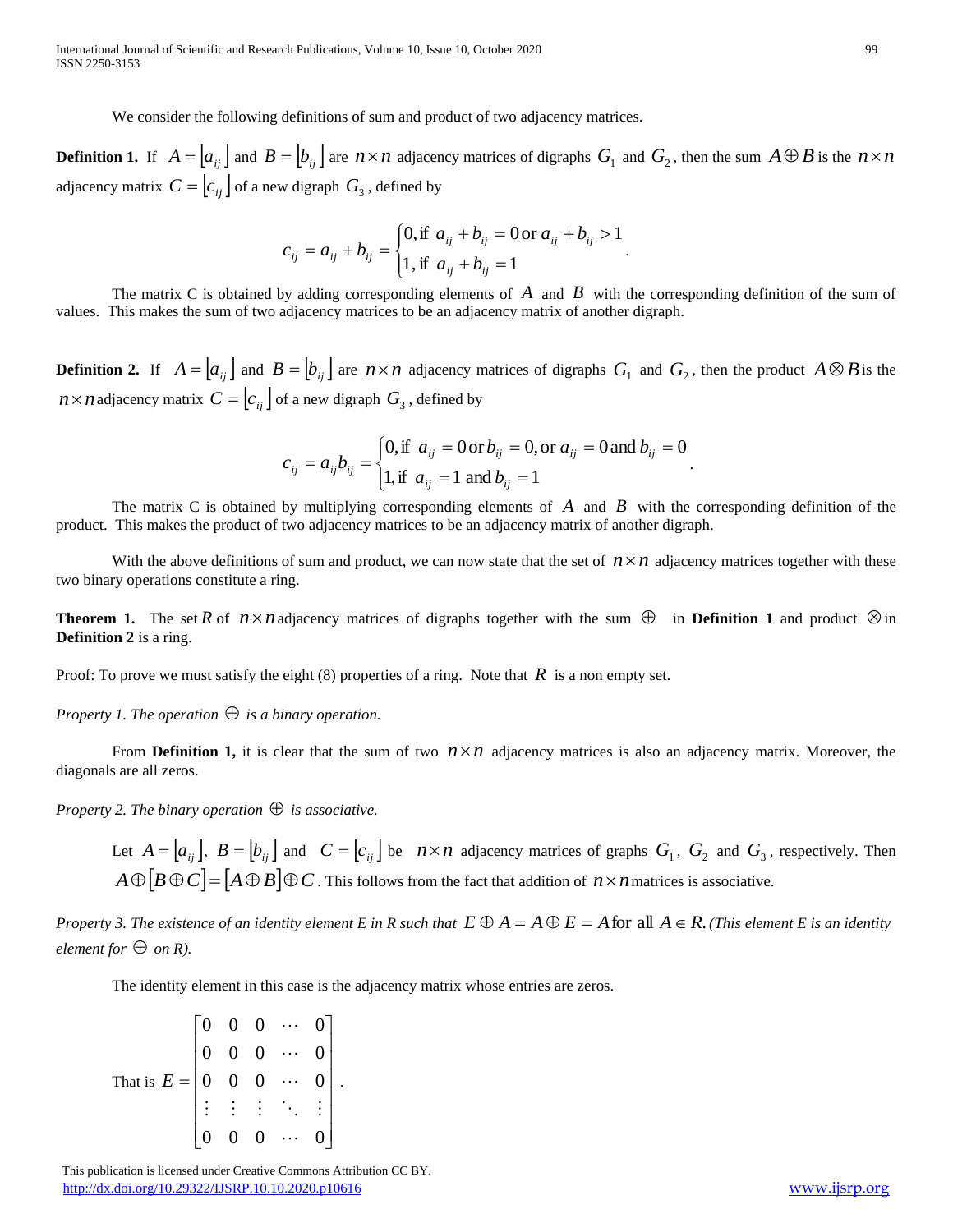We consider the following definitions of sum and product of two adjacency matrices.

**Definition 1.** If  $A = [a_{ij}]$  and  $B = [b_{ij}]$  are  $n \times n$  adjacency matrices of digraphs  $G_1$  and  $G_2$ , then the sum  $A \oplus B$  is the  $n \times n$ adjacency matrix  $C = \left[ c_{ij} \right]$  of a new digraph  $G_3$ , defined by

$$
c_{ij} = a_{ij} + b_{ij} = \begin{cases} 0, & \text{if } a_{ij} + b_{ij} = 0 \text{ or } a_{ij} + b_{ij} > 1 \\ 1, & \text{if } a_{ij} + b_{ij} = 1 \end{cases}.
$$

The matrix C is obtained by adding corresponding elements of  $\vec{A}$  and  $\vec{B}$  with the corresponding definition of the sum of values. This makes the sum of two adjacency matrices to be an adjacency matrix of another digraph.

**Definition 2.** If  $A = [a_{ij}]$  and  $B = [b_{ij}]$  are  $n \times n$  adjacency matrices of digraphs  $G_1$  and  $G_2$ , then the product  $A \otimes B$  is the  $n \times n$  adjacency matrix  $C = \left[ c_{ij} \right]$  of a new digraph  $G_3$  , defined by

$$
c_{ij} = a_{ij}b_{ij} = \begin{cases} 0, \text{if } a_{ij} = 0 \text{ or } b_{ij} = 0, \text{ or } a_{ij} = 0 \text{ and } b_{ij} = 0 \\ 1, \text{if } a_{ij} = 1 \text{ and } b_{ij} = 1 \end{cases}.
$$

The matrix C is obtained by multiplying corresponding elements of  $\vec{A}$  and  $\vec{B}$  with the corresponding definition of the product. This makes the product of two adjacency matrices to be an adjacency matrix of another digraph.

With the above definitions of sum and product, we can now state that the set of  $n \times n$  adjacency matrices together with these two binary operations constitute a ring.

**Theorem 1.** The set R of  $n \times n$  adjacency matrices of digraphs together with the sum  $\oplus$  in **Definition 1** and product  $\otimes$  in **Definition 2** is a ring.

Proof: To prove we must satisfy the eight  $(8)$  properties of a ring. Note that  $R$  is a non empty set.

*Property 1. The operation is a binary operation.*

From **Definition 1,** it is clear that the sum of two  $n \times n$  adjacency matrices is also an adjacency matrix. Moreover, the diagonals are all zeros.

*Property 2. The binary operation is associative.*

Let  $A = [a_{ij}]$ ,  $B = [b_{ij}]$  and  $C = [c_{ij}]$  be  $n \times n$  adjacency matrices of graphs  $G_1$ ,  $G_2$  and  $G_3$ , respectively. Then  $A \oplus [B \oplus C] = [A \oplus B] \oplus C$  . This follows from the fact that addition of  $n \times n$  matrices is associative.

Property 3. The existence of an identity element E in R such that  $E\oplus A=A\oplus E=A$  for  $\operatorname{all} A\in R.$  (This element E is an identity *element for*  $\oplus$  *on R*).

The identity element in this case is the adjacency matrix whose entries are zeros.

That is 
$$
E = \begin{bmatrix} 0 & 0 & 0 & \cdots & 0 \\ 0 & 0 & 0 & \cdots & 0 \\ 0 & 0 & 0 & \cdots & 0 \\ \vdots & \vdots & \vdots & \ddots & \vdots \\ 0 & 0 & 0 & \cdots & 0 \end{bmatrix}
$$
.

 This publication is licensed under Creative Commons Attribution CC BY. <http://dx.doi.org/10.29322/IJSRP.10.10.2020.p10616> [www.ijsrp.org](http://ijsrp.org/)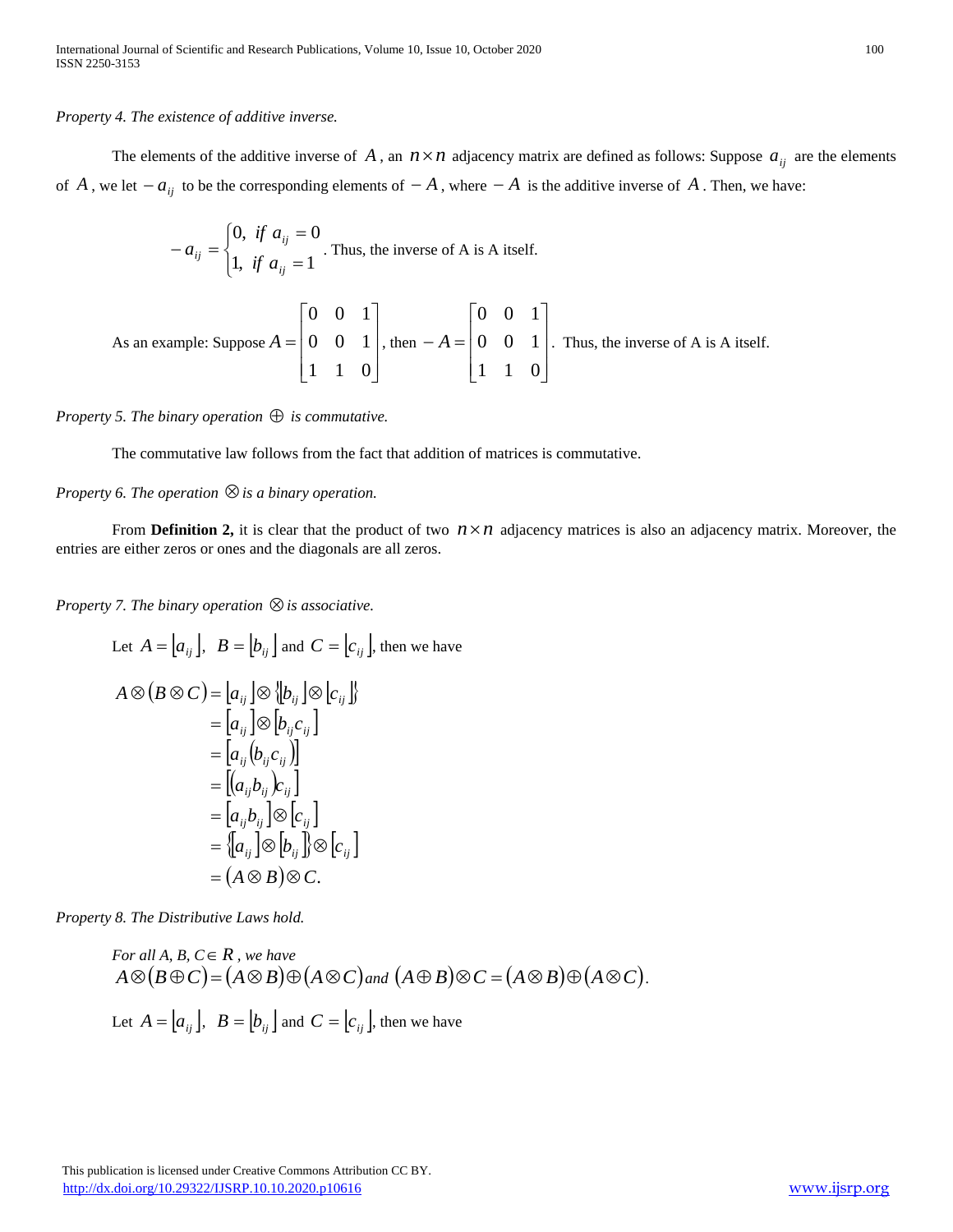*Property 4. The existence of additive inverse.*

The elements of the additive inverse of A, an  $n \times n$  adjacency matrix are defined as follows: Suppose  $a_{ij}$  are the elements of A, we let  $-a_{ij}$  to be the corresponding elements of  $-A$ , where  $-A$  is the additive inverse of A. Then, we have:

$$
-a_{ij} = \begin{cases} 0, & \text{if } a_{ij} = 0 \\ 1, & \text{if } a_{ij} = 1 \end{cases}
$$
. Thus, the inverse of A is A itself.

As an example: Suppose 
$$
A = \begin{bmatrix} 0 & 0 & 1 \\ 0 & 0 & 1 \\ 1 & 1 & 0 \end{bmatrix}
$$
, then  $-A = \begin{bmatrix} 0 & 0 & 1 \\ 0 & 0 & 1 \\ 1 & 1 & 0 \end{bmatrix}$ . Thus, the inverse of A is A itself.

*Property 5. The binary operation is commutative.*

The commutative law follows from the fact that addition of matrices is commutative.

*Property 6. The operation is a binary operation.*

From **Definition 2,** it is clear that the product of two  $n \times n$  adjacency matrices is also an adjacency matrix. Moreover, the entries are either zeros or ones and the diagonals are all zeros.

*Property 7. The binary operation is associative.*

Let 
$$
A = [a_{ij}]
$$
,  $B = [b_{ij}]$  and  $C = [c_{ij}]$ , then we have  
\n
$$
A \otimes (B \otimes C) = [a_{ij}] \otimes [b_{ij}] \otimes [c_{ij}]
$$
\n
$$
= [a_{ij}] \otimes [b_{ij}c_{ij}]
$$
\n
$$
= [a_{ij}(b_{ij}c_{ij})]
$$
\n
$$
= [(a_{ij}b_{ij})c_{ij}]
$$
\n
$$
= [a_{ij}b_{ij}] \otimes [c_{ij}]
$$
\n
$$
= [a_{ij}b_{ij}] \otimes [c_{ij}]
$$
\n
$$
= \{a_{ij} \otimes [b_{ij}]\} \otimes [c_{ij}]
$$
\n
$$
= (A \otimes B) \otimes C.
$$

*Property 8. The Distributive Laws hold.* 

For all A, B, 
$$
C \in R
$$
, we have  
\n $A \otimes (B \oplus C) = (A \otimes B) \oplus (A \otimes C)$  and  $(A \oplus B) \otimes C = (A \otimes B) \oplus (A \otimes C)$ .  
\nLet  $A = [a_{ij}]$ ,  $B = [b_{ij}]$  and  $C = [c_{ij}]$ , then we have